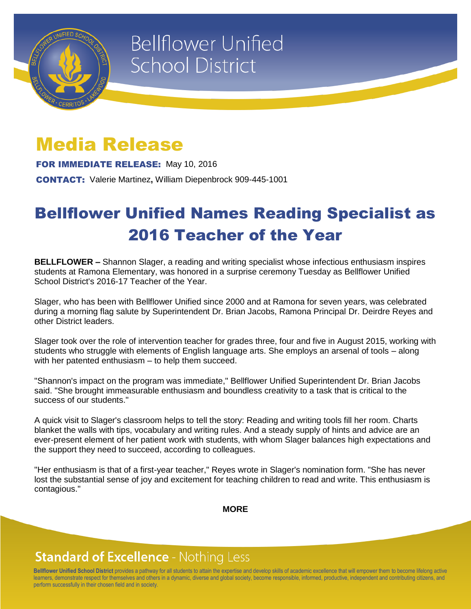

# **Bellflower Unified School District**

## Media Release

FOR IMMEDIATE RELEASE: May 10, 2016

CONTACT: Valerie Martinez**,** William Diepenbrock 909-445-1001

## Bellflower Unified Names Reading Specialist as 2016 Teacher of the Year

**BELLFLOWER –** Shannon Slager, a reading and writing specialist whose infectious enthusiasm inspires students at Ramona Elementary, was honored in a surprise ceremony Tuesday as Bellflower Unified School District's 2016-17 Teacher of the Year.

Slager, who has been with Bellflower Unified since 2000 and at Ramona for seven years, was celebrated during a morning flag salute by Superintendent Dr. Brian Jacobs, Ramona Principal Dr. Deirdre Reyes and other District leaders.

Slager took over the role of intervention teacher for grades three, four and five in August 2015, working with students who struggle with elements of English language arts. She employs an arsenal of tools – along with her patented enthusiasm – to help them succeed.

"Shannon's impact on the program was immediate," Bellflower Unified Superintendent Dr. Brian Jacobs said. "She brought immeasurable enthusiasm and boundless creativity to a task that is critical to the success of our students."

A quick visit to Slager's classroom helps to tell the story: Reading and writing tools fill her room. Charts blanket the walls with tips, vocabulary and writing rules. And a steady supply of hints and advice are an ever-present element of her patient work with students, with whom Slager balances high expectations and the support they need to succeed, according to colleagues.

"Her enthusiasm is that of a first-year teacher," Reyes wrote in Slager's nomination form. "She has never lost the substantial sense of joy and excitement for teaching children to read and write. This enthusiasm is contagious."

**MORE**

### **Standard of Excellence - Nothing Less**

**Bellflower Unified School District** provides a pathway for all students to attain the expertise and develop skills of academic excellence that will empower them to become lifelong active learners, demonstrate respect for themselves and others in a dynamic, diverse and global society, become responsible, informed, productive, independent and contributing citizens, and perform successfully in their chosen field and in society.